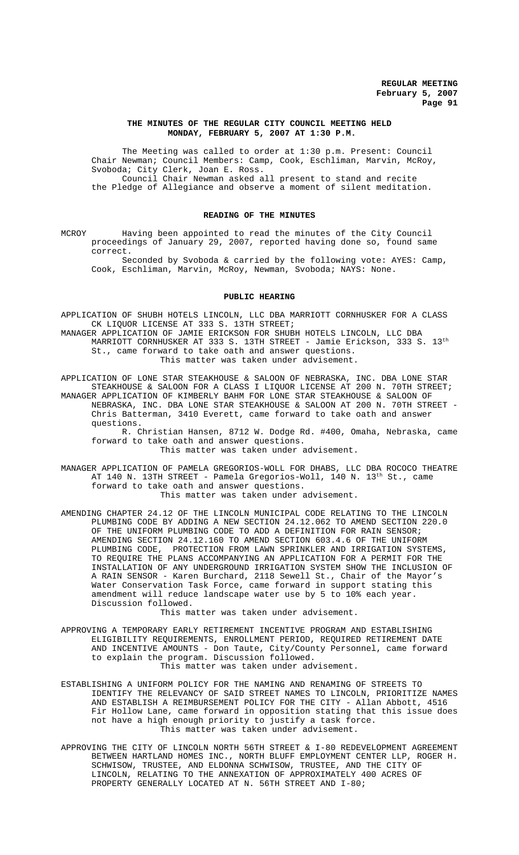### **THE MINUTES OF THE REGULAR CITY COUNCIL MEETING HELD MONDAY, FEBRUARY 5, 2007 AT 1:30 P.M.**

The Meeting was called to order at 1:30 p.m. Present: Council Chair Newman; Council Members: Camp, Cook, Eschliman, Marvin, McRoy, Svoboda; City Clerk, Joan E. Ross. Council Chair Newman asked all present to stand and recite the Pledge of Allegiance and observe a moment of silent meditation.

# **READING OF THE MINUTES**

MCROY Having been appointed to read the minutes of the City Council proceedings of January 29, 2007, reported having done so, found same correct.

Seconded by Svoboda & carried by the following vote: AYES: Camp, Cook, Eschliman, Marvin, McRoy, Newman, Svoboda; NAYS: None.

#### **PUBLIC HEARING**

APPLICATION OF SHUBH HOTELS LINCOLN, LLC DBA MARRIOTT CORNHUSKER FOR A CLASS CK LIQUOR LICENSE AT 333 S. 13TH STREET;

MANAGER APPLICATION OF JAMIE ERICKSON FOR SHUBH HOTELS LINCOLN, LLC DBA MARRIOTT CORNHUSKER AT 333 S. 13TH STREET - Jamie Erickson, 333 S. 13th St., came forward to take oath and answer questions. This matter was taken under advisement.

APPLICATION OF LONE STAR STEAKHOUSE & SALOON OF NEBRASKA, INC. DBA LONE STAR STEAKHOUSE & SALOON FOR A CLASS I LIQUOR LICENSE AT 200 N. 70TH STREET; MANAGER APPLICATION OF KIMBERLY BAHM FOR LONE STAR STEAKHOUSE & SALOON OF NEBRASKA, INC. DBA LONE STAR STEAKHOUSE & SALOON AT 200 N. 70TH STREET - Chris Batterman, 3410 Everett, came forward to take oath and answer questions.

R. Christian Hansen, 8712 W. Dodge Rd. #400, Omaha, Nebraska, came forward to take oath and answer questions. This matter was taken under advisement.

MANAGER APPLICATION OF PAMELA GREGORIOS-WOLL FOR DHABS, LLC DBA ROCOCO THEATRE AT 140 N. 13TH STREET - Pamela Gregorios-Woll, 140 N. 13<sup>th</sup> St., came forward to take oath and answer questions. This matter was taken under advisement.

AMENDING CHAPTER 24.12 OF THE LINCOLN MUNICIPAL CODE RELATING TO THE LINCOLN PLUMBING CODE BY ADDING A NEW SECTION 24.12.062 TO AMEND SECTION 220.0 OF THE UNIFORM PLUMBING CODE TO ADD A DEFINITION FOR RAIN SENSOR; AMENDING SECTION 24.12.160 TO AMEND SECTION 603.4.6 OF THE UNIFORM PLUMBING CODE, PROTECTION FROM LAWN SPRINKLER AND IRRIGATION SYSTEMS, TO REQUIRE THE PLANS ACCOMPANYING AN APPLICATION FOR A PERMIT FOR THE INSTALLATION OF ANY UNDERGROUND IRRIGATION SYSTEM SHOW THE INCLUSION OF A RAIN SENSOR - Karen Burchard, 2118 Sewell St., Chair of the Mayor's Water Conservation Task Force, came forward in support stating this amendment will reduce landscape water use by 5 to 10% each year. Discussion followed.

This matter was taken under advisement.

- APPROVING A TEMPORARY EARLY RETIREMENT INCENTIVE PROGRAM AND ESTABLISHING ELIGIBILITY REQUIREMENTS, ENROLLMENT PERIOD, REQUIRED RETIREMENT DATE AND INCENTIVE AMOUNTS - Don Taute, City/County Personnel, came forward to explain the program. Discussion followed. This matter was taken under advisement.
- ESTABLISHING A UNIFORM POLICY FOR THE NAMING AND RENAMING OF STREETS TO IDENTIFY THE RELEVANCY OF SAID STREET NAMES TO LINCOLN, PRIORITIZE NAMES AND ESTABLISH A REIMBURSEMENT POLICY FOR THE CITY - Allan Abbott, 4516 Fir Hollow Lane, came forward in opposition stating that this issue does not have a high enough priority to justify a task force. This matter was taken under advisement.
- APPROVING THE CITY OF LINCOLN NORTH 56TH STREET & I-80 REDEVELOPMENT AGREEMENT BETWEEN HARTLAND HOMES INC., NORTH BLUFF EMPLOYMENT CENTER LLP, ROGER H. SCHWISOW, TRUSTEE, AND ELDONNA SCHWISOW, TRUSTEE, AND THE CITY OF LINCOLN, RELATING TO THE ANNEXATION OF APPROXIMATELY 400 ACRES OF PROPERTY GENERALLY LOCATED AT N. 56TH STREET AND I-80;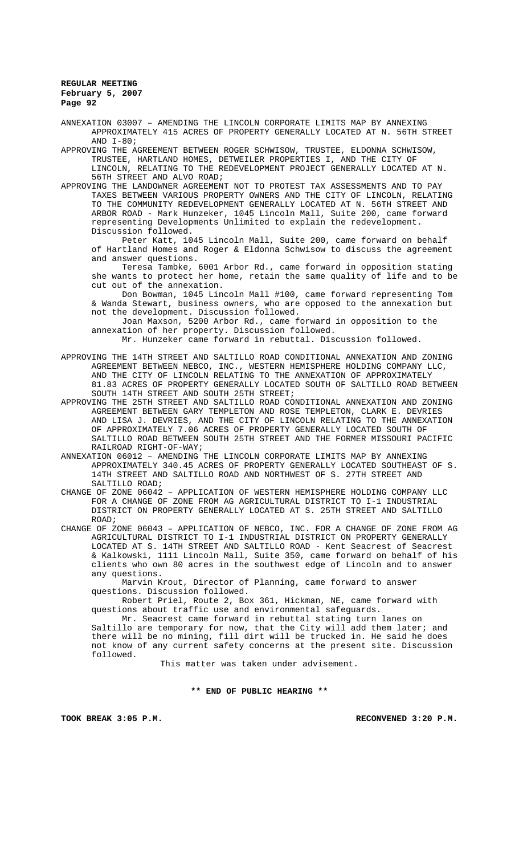ANNEXATION 03007 – AMENDING THE LINCOLN CORPORATE LIMITS MAP BY ANNEXING APPROXIMATELY 415 ACRES OF PROPERTY GENERALLY LOCATED AT N. 56TH STREET  $AND T-80$ ;

APPROVING THE AGREEMENT BETWEEN ROGER SCHWISOW, TRUSTEE, ELDONNA SCHWISOW, TRUSTEE, HARTLAND HOMES, DETWEILER PROPERTIES I, AND THE CITY OF LINCOLN, RELATING TO THE REDEVELOPMENT PROJECT GENERALLY LOCATED AT N. 56TH STREET AND ALVO ROAD;

APPROVING THE LANDOWNER AGREEMENT NOT TO PROTEST TAX ASSESSMENTS AND TO PAY TAXES BETWEEN VARIOUS PROPERTY OWNERS AND THE CITY OF LINCOLN, RELATING TO THE COMMUNITY REDEVELOPMENT GENERALLY LOCATED AT N. 56TH STREET AND ARBOR ROAD - Mark Hunzeker, 1045 Lincoln Mall, Suite 200, came forward representing Developments Unlimited to explain the redevelopment. Discussion followed.

Peter Katt, 1045 Lincoln Mall, Suite 200, came forward on behalf of Hartland Homes and Roger & Eldonna Schwisow to discuss the agreement and answer questions.

Teresa Tambke, 6001 Arbor Rd., came forward in opposition stating she wants to protect her home, retain the same quality of life and to be cut out of the annexation.

Don Bowman, 1045 Lincoln Mall #100, came forward representing Tom & Wanda Stewart, business owners, who are opposed to the annexation but not the development. Discussion followed.

Joan Maxson, 5200 Arbor Rd., came forward in opposition to the annexation of her property. Discussion followed. Mr. Hunzeker came forward in rebuttal. Discussion followed.

APPROVING THE 14TH STREET AND SALTILLO ROAD CONDITIONAL ANNEXATION AND ZONING AGREEMENT BETWEEN NEBCO, INC., WESTERN HEMISPHERE HOLDING COMPANY LLC, AND THE CITY OF LINCOLN RELATING TO THE ANNEXATION OF APPROXIMATELY 81.83 ACRES OF PROPERTY GENERALLY LOCATED SOUTH OF SALTILLO ROAD BETWEEN SOUTH 14TH STREET AND SOUTH 25TH STREET;

APPROVING THE 25TH STREET AND SALTILLO ROAD CONDITIONAL ANNEXATION AND ZONING AGREEMENT BETWEEN GARY TEMPLETON AND ROSE TEMPLETON, CLARK E. DEVRIES AND LISA J. DEVRIES, AND THE CITY OF LINCOLN RELATING TO THE ANNEXATION OF APPROXIMATELY 7.06 ACRES OF PROPERTY GENERALLY LOCATED SOUTH OF SALTILLO ROAD BETWEEN SOUTH 25TH STREET AND THE FORMER MISSOURI PACIFIC RAILROAD RIGHT-OF-WAY;

ANNEXATION 06012 – AMENDING THE LINCOLN CORPORATE LIMITS MAP BY ANNEXING APPROXIMATELY 340.45 ACRES OF PROPERTY GENERALLY LOCATED SOUTHEAST OF S. 14TH STREET AND SALTILLO ROAD AND NORTHWEST OF S. 27TH STREET AND SALTILLO ROAD;

CHANGE OF ZONE 06042 – APPLICATION OF WESTERN HEMISPHERE HOLDING COMPANY LLC FOR A CHANGE OF ZONE FROM AG AGRICULTURAL DISTRICT TO I-1 INDUSTRIAL DISTRICT ON PROPERTY GENERALLY LOCATED AT S. 25TH STREET AND SALTILLO ROAD;

CHANGE OF ZONE 06043 – APPLICATION OF NEBCO, INC. FOR A CHANGE OF ZONE FROM AG AGRICULTURAL DISTRICT TO I-1 INDUSTRIAL DISTRICT ON PROPERTY GENERALLY LOCATED AT S. 14TH STREET AND SALTILLO ROAD - Kent Seacrest of Seacrest & Kalkowski, 1111 Lincoln Mall, Suite 350, came forward on behalf of his clients who own 80 acres in the southwest edge of Lincoln and to answer any questions.

Marvin Krout, Director of Planning, came forward to answer questions. Discussion followed.

Robert Priel, Route 2, Box 361, Hickman, NE, came forward with questions about traffic use and environmental safeguards.

Mr. Seacrest came forward in rebuttal stating turn lanes on Saltillo are temporary for now, that the City will add them later; and there will be no mining, fill dirt will be trucked in. He said he does not know of any current safety concerns at the present site. Discussion followed.

This matter was taken under advisement.

**\*\* END OF PUBLIC HEARING \*\***

**TOOK BREAK 3:05 P.M. RECONVENED 3:20 P.M.**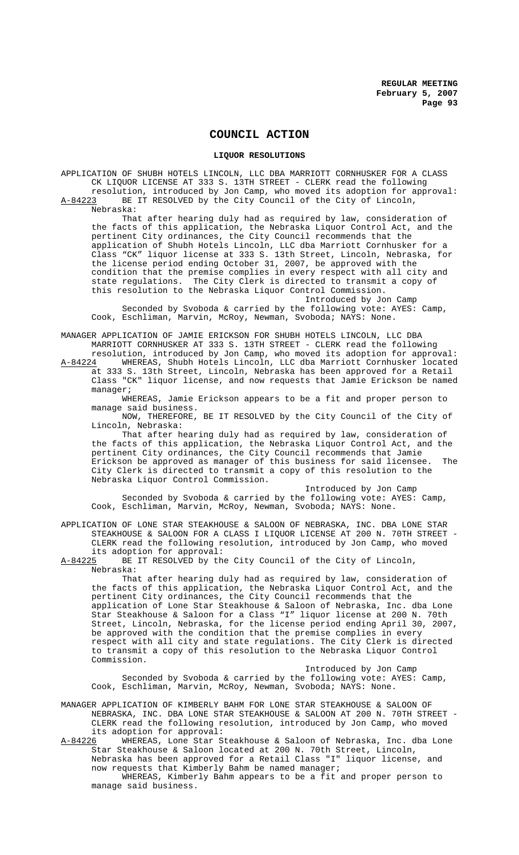# **COUNCIL ACTION**

#### **LIQUOR RESOLUTIONS**

APPLICATION OF SHUBH HOTELS LINCOLN, LLC DBA MARRIOTT CORNHUSKER FOR A CLASS CK LIQUOR LICENSE AT 333 S. 13TH STREET - CLERK read the following

resolution, introduced by Jon Camp, who moved its adoption for approval:<br>A-84223 BE IT RESOLVED by the City Council of the City of Lincoln, BE IT RESOLVED by the City Council of the City of Lincoln, Nebraska:

That after hearing duly had as required by law, consideration of the facts of this application, the Nebraska Liquor Control Act, and the pertinent City ordinances, the City Council recommends that the application of Shubh Hotels Lincoln, LLC dba Marriott Cornhusker for a Class "CK" liquor license at 333 S. 13th Street, Lincoln, Nebraska, for the license period ending October 31, 2007, be approved with the condition that the premise complies in every respect with all city and state regulations. The City Clerk is directed to transmit a copy of this resolution to the Nebraska Liquor Control Commission.

Introduced by Jon Camp Seconded by Svoboda & carried by the following vote: AYES: Camp, Cook, Eschliman, Marvin, McRoy, Newman, Svoboda; NAYS: None.

MANAGER APPLICATION OF JAMIE ERICKSON FOR SHUBH HOTELS LINCOLN, LLC DBA MARRIOTT CORNHUSKER AT 333 S. 13TH STREET - CLERK read the following

resolution, introduced by Jon Camp, who moved its adoption for approval: A-84224 WHEREAS, Shubh Hotels Lincoln, LLC dba Marriott Cornhusker located at 333 S. 13th Street, Lincoln, Nebraska has been approved for a Retail Class "CK" liquor license, and now requests that Jamie Erickson be named manager;

WHEREAS, Jamie Erickson appears to be a fit and proper person to manage said business.

NOW, THEREFORE, BE IT RESOLVED by the City Council of the City of Lincoln, Nebraska:

That after hearing duly had as required by law, consideration of the facts of this application, the Nebraska Liquor Control Act, and the pertinent City ordinances, the City Council recommends that Jamie Erickson be approved as manager of this business for said licensee. The City Clerk is directed to transmit a copy of this resolution to the Nebraska Liquor Control Commission.

Introduced by Jon Camp

Seconded by Svoboda & carried by the following vote: AYES: Camp, Cook, Eschliman, Marvin, McRoy, Newman, Svoboda; NAYS: None.

APPLICATION OF LONE STAR STEAKHOUSE & SALOON OF NEBRASKA, INC. DBA LONE STAR STEAKHOUSE & SALOON FOR A CLASS I LIQUOR LICENSE AT 200 N. 70TH STREET - CLERK read the following resolution, introduced by Jon Camp, who moved its adoption for approval:<br>A-84225 BE IT RESOLVED by the

BE IT RESOLVED by the City Council of the City of Lincoln, Nebraska:

That after hearing duly had as required by law, consideration of the facts of this application, the Nebraska Liquor Control Act, and the pertinent City ordinances, the City Council recommends that the application of Lone Star Steakhouse & Saloon of Nebraska, Inc. dba Lone Star Steakhouse & Saloon for a Class "I" liquor license at 200 N. 70th Street, Lincoln, Nebraska, for the license period ending April 30, 2007, be approved with the condition that the premise complies in every respect with all city and state regulations. The City Clerk is directed to transmit a copy of this resolution to the Nebraska Liquor Control Commission.

Introduced by Jon Camp Seconded by Svoboda & carried by the following vote: AYES: Camp, Cook, Eschliman, Marvin, McRoy, Newman, Svoboda; NAYS: None.

MANAGER APPLICATION OF KIMBERLY BAHM FOR LONE STAR STEAKHOUSE & SALOON OF NEBRASKA, INC. DBA LONE STAR STEAKHOUSE & SALOON AT 200 N. 70TH STREET - CLERK read the following resolution, introduced by Jon Camp, who moved

its adoption for approval:<br>A-84226 WHEREAS, Lone Star S WHEREAS, Lone Star Steakhouse & Saloon of Nebraska, Inc. dba Lone Star Steakhouse & Saloon located at 200 N. 70th Street, Lincoln, Nebraska has been approved for a Retail Class "I" liquor license, and now requests that Kimberly Bahm be named manager;

WHEREAS, Kimberly Bahm appears to be a fit and proper person to manage said business.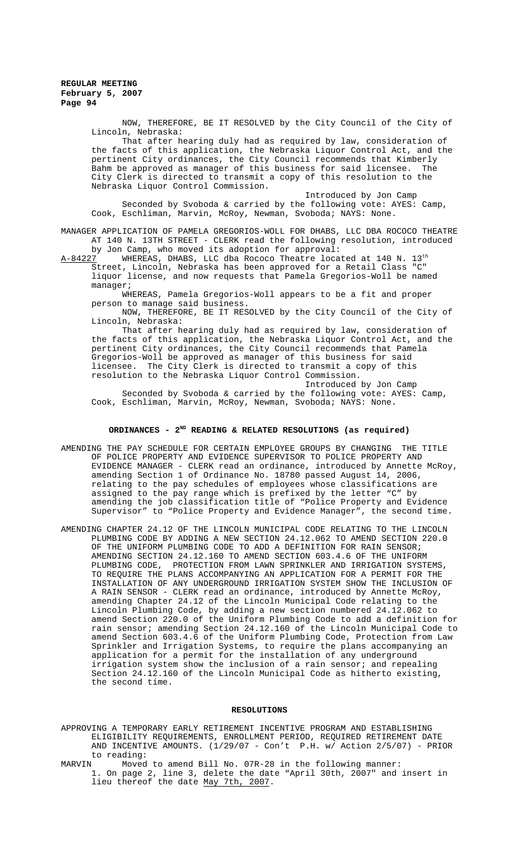NOW, THEREFORE, BE IT RESOLVED by the City Council of the City of Lincoln, Nebraska:

That after hearing duly had as required by law, consideration of the facts of this application, the Nebraska Liquor Control Act, and the pertinent City ordinances, the City Council recommends that Kimberly<br>Bahm be approved as manager of this business for said licensee. The Bahm be approved as manager of this business for said licensee. City Clerk is directed to transmit a copy of this resolution to the Nebraska Liquor Control Commission.

Introduced by Jon Camp Seconded by Svoboda & carried by the following vote: AYES: Camp, Cook, Eschliman, Marvin, McRoy, Newman, Svoboda; NAYS: None.

MANAGER APPLICATION OF PAMELA GREGORIOS-WOLL FOR DHABS, LLC DBA ROCOCO THEATRE AT 140 N. 13TH STREET - CLERK read the following resolution, introduced by Jon Camp, who moved its adoption for approval:<br>A-84227 WHEREAS, DHABS, LLC dba Rococo Theatre loca

WHEREAS, DHABS, LLC dba Rococo Theatre located at 140 N. 13th Street, Lincoln, Nebraska has been approved for a Retail Class "C" liquor license, and now requests that Pamela Gregorios-Woll be named manager;

WHEREAS, Pamela Gregorios-Woll appears to be a fit and proper person to manage said business.

NOW, THEREFORE, BE IT RESOLVED by the City Council of the City of Lincoln, Nebraska:

That after hearing duly had as required by law, consideration of the facts of this application, the Nebraska Liquor Control Act, and the pertinent City ordinances, the City Council recommends that Pamela Gregorios-Woll be approved as manager of this business for said licensee. The City Clerk is directed to transmit a copy of this resolution to the Nebraska Liquor Control Commission.

Introduced by Jon Camp Seconded by Svoboda & carried by the following vote: AYES: Camp, Cook, Eschliman, Marvin, McRoy, Newman, Svoboda; NAYS: None.

## ORDINANCES - 2<sup>ND</sup> READING & RELATED RESOLUTIONS (as required)

- AMENDING THE PAY SCHEDULE FOR CERTAIN EMPLOYEE GROUPS BY CHANGING THE TITLE OF POLICE PROPERTY AND EVIDENCE SUPERVISOR TO POLICE PROPERTY AND EVIDENCE MANAGER - CLERK read an ordinance, introduced by Annette McRoy, amending Section 1 of Ordinance No. 18780 passed August 14, 2006, relating to the pay schedules of employees whose classifications are assigned to the pay range which is prefixed by the letter "C" by amending the job classification title of "Police Property and Evidence Supervisor" to "Police Property and Evidence Manager", the second time.
- AMENDING CHAPTER 24.12 OF THE LINCOLN MUNICIPAL CODE RELATING TO THE LINCOLN PLUMBING CODE BY ADDING A NEW SECTION 24.12.062 TO AMEND SECTION 220.0 OF THE UNIFORM PLUMBING CODE TO ADD A DEFINITION FOR RAIN SENSOR; AMENDING SECTION 24.12.160 TO AMEND SECTION 603.4.6 OF THE UNIFORM<br>PLUMBING CODE, PROTECTION FROM LAWN SPRINKLER AND IRRIGATION SYSTEMS, PLUMBING CODE, PROTECTION FROM LAWN SPRINKLER AND IRRIGATION SYSTEMS, TO REQUIRE THE PLANS ACCOMPANYING AN APPLICATION FOR A PERMIT FOR THE INSTALLATION OF ANY UNDERGROUND IRRIGATION SYSTEM SHOW THE INCLUSION OF A RAIN SENSOR - CLERK read an ordinance, introduced by Annette McRoy, amending Chapter 24.12 of the Lincoln Municipal Code relating to the Lincoln Plumbing Code, by adding a new section numbered 24.12.062 to amend Section 220.0 of the Uniform Plumbing Code to add a definition for rain sensor; amending Section 24.12.160 of the Lincoln Municipal Code to amend Section 603.4.6 of the Uniform Plumbing Code, Protection from Law Sprinkler and Irrigation Systems, to require the plans accompanying an application for a permit for the installation of any underground irrigation system show the inclusion of a rain sensor; and repealing Section 24.12.160 of the Lincoln Municipal Code as hitherto existing, the second time.

# **RESOLUTIONS**

- APPROVING A TEMPORARY EARLY RETIREMENT INCENTIVE PROGRAM AND ESTABLISHING ELIGIBILITY REQUIREMENTS, ENROLLMENT PERIOD, REQUIRED RETIREMENT DATE AND INCENTIVE AMOUNTS. (1/29/07 - Con't P.H. w/ Action 2/5/07) - PRIOR to reading:<br>MARVIN Moved
- Moved to amend Bill No. 07R-28 in the following manner: 1. On page 2, line 3, delete the date "April 30th, 2007" and insert in lieu thereof the date May 7th, 2007.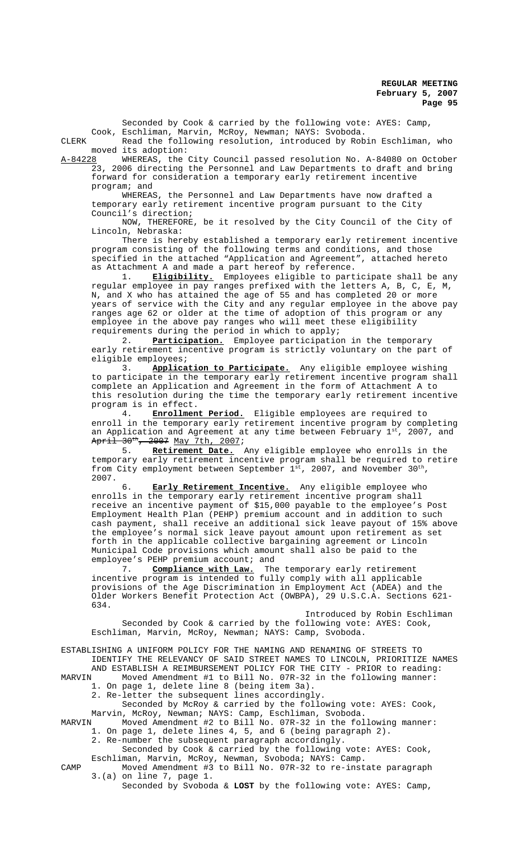Cook, Eschliman, Marvin, McRoy, Newman; NAYS: Svoboda. CLERK Read the following resolution, introduced by Robin Eschliman, who moved its adoption:<br>A-84228 WHEREAS, the WHEREAS, the City Council passed resolution No. A-84080 on October 23, 2006 directing the Personnel and Law Departments to draft and bring forward for consideration a temporary early retirement incentive program; and WHEREAS, the Personnel and Law Departments have now drafted a temporary early retirement incentive program pursuant to the City Council's direction; NOW, THEREFORE, be it resolved by the City Council of the City of Lincoln, Nebraska: There is hereby established a temporary early retirement incentive program consisting of the following terms and conditions, and those specified in the attached "Application and Agreement", attached hereto as Attachment A and made a part hereof by reference. 1. **Eligibility.** Employees eligible to participate shall be any regular employee in pay ranges prefixed with the letters A, B, C, E, M, N, and X who has attained the age of 55 and has completed 20 or more years of service with the City and any regular employee in the above pay ranges age 62 or older at the time of adoption of this program or any employee in the above pay ranges who will meet these eligibility requirements during the period in which to apply; 2. **Participation.** Employee participation in the temporary early retirement incentive program is strictly voluntary on the part of eligible employees; 3. **Application to Participate.** Any eligible employee wishing to participate in the temporary early retirement incentive program shall complete an Application and Agreement in the form of Attachment A to this resolution during the time the temporary early retirement incentive program is in effect. 4. **Enrollment Period.** Eligible employees are required to enroll in the temporary early retirement incentive program by completing an Application and Agreement at any time between February  $1^{st}$ , 2007, and April 30<sup>th</sup>, 2007 May 7th, 2007;<br>5. Retirement Date. Retirement Date. Any eligible employee who enrolls in the temporary early retirement incentive program shall be required to retire from City employment between September  $1^{st}$ , 2007, and November 30<sup>th</sup>, 2007. Early Retirement Incentive. Any eligible employee who enrolls in the temporary early retirement incentive program shall receive an incentive payment of \$15,000 payable to the employee's Post

Seconded by Cook & carried by the following vote: AYES: Camp,

Employment Health Plan (PEHP) premium account and in addition to such cash payment, shall receive an additional sick leave payout of 15% above the employee's normal sick leave payout amount upon retirement as set forth in the applicable collective bargaining agreement or Lincoln Municipal Code provisions which amount shall also be paid to the employee's PEHP premium account; and

7. **Compliance with Law.** The temporary early retirement incentive program is intended to fully comply with all applicable provisions of the Age Discrimination in Employment Act (ADEA) and the Older Workers Benefit Protection Act (OWBPA), 29 U.S.C.A. Sections 621- 634.

Introduced by Robin Eschliman Seconded by Cook & carried by the following vote: AYES: Cook, Eschliman, Marvin, McRoy, Newman; NAYS: Camp, Svoboda.

ESTABLISHING A UNIFORM POLICY FOR THE NAMING AND RENAMING OF STREETS TO IDENTIFY THE RELEVANCY OF SAID STREET NAMES TO LINCOLN, PRIORITIZE NAMES

AND ESTABLISH A REIMBURSEMENT POLICY FOR THE CITY - PRIOR to reading:<br>MARVIN Moved Amendment #1 to Bill No. 07R-32 in the following manner: Moved Amendment #1 to Bill No. 07R-32 in the following manner: 1. On page 1, delete line 8 (being item 3a).

2. Re-letter the subsequent lines accordingly.

Seconded by McRoy & carried by the following vote: AYES: Cook, Marvin, McRoy, Newman; NAYS: Camp, Eschliman, Svoboda.

MARVIN Moved Amendment #2 to Bill No. 07R-32 in the following manner: 1. On page 1, delete lines 4, 5, and 6 (being paragraph 2).

2. Re-number the subsequent paragraph accordingly.

Seconded by Cook & carried by the following vote: AYES: Cook, Eschliman, Marvin, McRoy, Newman, Svoboda; NAYS: Camp.

CAMP Moved Amendment #3 to Bill No. 07R-32 to re-instate paragraph 3.(a) on line 7, page 1.

Seconded by Svoboda & **LOST** by the following vote: AYES: Camp,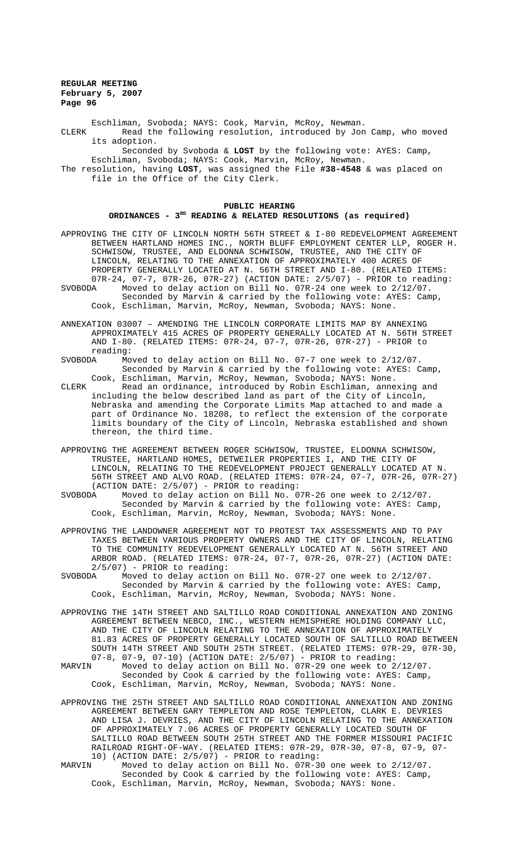Eschliman, Svoboda; NAYS: Cook, Marvin, McRoy, Newman. CLERK Read the following resolution, introduced by Jon Camp, who moved its adoption.

Seconded by Svoboda & **LOST** by the following vote: AYES: Camp, Eschliman, Svoboda; NAYS: Cook, Marvin, McRoy, Newman.

The resolution, having **LOST**, was assigned the File **#38-4548** & was placed on file in the Office of the City Clerk.

# **PUBLIC HEARING ORDINANCES - 3RD READING & RELATED RESOLUTIONS (as required)**

APPROVING THE CITY OF LINCOLN NORTH 56TH STREET & I-80 REDEVELOPMENT AGREEMENT BETWEEN HARTLAND HOMES INC., NORTH BLUFF EMPLOYMENT CENTER LLP, ROGER H. SCHWISOW, TRUSTEE, AND ELDONNA SCHWISOW, TRUSTEE, AND THE CITY OF LINCOLN, RELATING TO THE ANNEXATION OF APPROXIMATELY 400 ACRES OF PROPERTY GENERALLY LOCATED AT N. 56TH STREET AND I-80. (RELATED ITEMS:  $07R-24$ ,  $07-7$ ,  $07R-26$ ,  $07R-27$ ) (ACTION DATE:  $2/5/07$ ) - PRIOR to reading:<br>SVOBODA Moved to delay action on Bill No.  $07R-24$  one week to  $2/12/07$ . Moved to delay action on Bill No. 07R-24 one week to 2/12/07. Seconded by Marvin & carried by the following vote: AYES: Camp,

Cook, Eschliman, Marvin, McRoy, Newman, Svoboda; NAYS: None.

ANNEXATION 03007 – AMENDING THE LINCOLN CORPORATE LIMITS MAP BY ANNEXING APPROXIMATELY 415 ACRES OF PROPERTY GENERALLY LOCATED AT N. 56TH STREET AND I-80. (RELATED ITEMS: 07R-24, 07-7, 07R-26, 07R-27) - PRIOR to reading:<br>SVOBODA Mo

SVOBODA Moved to delay action on Bill No. 07-7 one week to 2/12/07. Seconded by Marvin & carried by the following vote: AYES: Camp, Cook, Eschliman, Marvin, McRoy, Newman, Svoboda; NAYS: None.

CLERK Read an ordinance, introduced by Robin Eschliman, annexing and including the below described land as part of the City of Lincoln, Nebraska and amending the Corporate Limits Map attached to and made a part of Ordinance No. 18208, to reflect the extension of the corporate limits boundary of the City of Lincoln, Nebraska established and shown thereon, the third time.

APPROVING THE AGREEMENT BETWEEN ROGER SCHWISOW, TRUSTEE, ELDONNA SCHWISOW, TRUSTEE, HARTLAND HOMES, DETWEILER PROPERTIES I, AND THE CITY OF LINCOLN, RELATING TO THE REDEVELOPMENT PROJECT GENERALLY LOCATED AT N. 56TH STREET AND ALVO ROAD. (RELATED ITEMS: 07R-24, 07-7, 07R-26, 07R-27) (ACTION DATE: 2/5/07) - PRIOR to reading:<br>SVOBODA Moved to delay action on Bill No. 0

Moved to delay action on Bill No. 07R-26 one week to 2/12/07. Seconded by Marvin & carried by the following vote: AYES: Camp, Cook, Eschliman, Marvin, McRoy, Newman, Svoboda; NAYS: None.

APPROVING THE LANDOWNER AGREEMENT NOT TO PROTEST TAX ASSESSMENTS AND TO PAY TAXES BETWEEN VARIOUS PROPERTY OWNERS AND THE CITY OF LINCOLN, RELATING TO THE COMMUNITY REDEVELOPMENT GENERALLY LOCATED AT N. 56TH STREET AND ARBOR ROAD. (RELATED ITEMS: 07R-24, 07-7, 07R-26, 07R-27) (ACTION DATE: 2/5/07) - PRIOR to reading:<br>SVOBODA Moved to delay action

Moved to delay action on Bill No. 07R-27 one week to 2/12/07. Seconded by Marvin & carried by the following vote: AYES: Camp, Cook, Eschliman, Marvin, McRoy, Newman, Svoboda; NAYS: None.

- APPROVING THE 14TH STREET AND SALTILLO ROAD CONDITIONAL ANNEXATION AND ZONING AGREEMENT BETWEEN NEBCO, INC., WESTERN HEMISPHERE HOLDING COMPANY LLC, AND THE CITY OF LINCOLN RELATING TO THE ANNEXATION OF APPROXIMATELY 81.83 ACRES OF PROPERTY GENERALLY LOCATED SOUTH OF SALTILLO ROAD BETWEEN SOUTH 14TH STREET AND SOUTH 25TH STREET. (RELATED ITEMS: 07R-29, 07R-30, 07-8, 07-9, 07-10) (ACTION DATE: 2/5/07) - PRIOR to reading:
- Moved to delay action on Bill No. 07R-29 one week to 2/12/07. Seconded by Cook & carried by the following vote: AYES: Camp, Cook, Eschliman, Marvin, McRoy, Newman, Svoboda; NAYS: None.
- APPROVING THE 25TH STREET AND SALTILLO ROAD CONDITIONAL ANNEXATION AND ZONING AGREEMENT BETWEEN GARY TEMPLETON AND ROSE TEMPLETON, CLARK E. DEVRIES AND LISA J. DEVRIES, AND THE CITY OF LINCOLN RELATING TO THE ANNEXATION OF APPROXIMATELY 7.06 ACRES OF PROPERTY GENERALLY LOCATED SOUTH OF SALTILLO ROAD BETWEEN SOUTH 25TH STREET AND THE FORMER MISSOURI PACIFIC RAILROAD RIGHT-OF-WAY. (RELATED ITEMS: 07R-29, 07R-30, 07-8, 07-9, 07- 10) (ACTION DATE: 2/5/07) - PRIOR to reading:
- MARVIN Moved to delay action on Bill No. 07R-30 one week to 2/12/07. Seconded by Cook & carried by the following vote: AYES: Camp, Cook, Eschliman, Marvin, McRoy, Newman, Svoboda; NAYS: None.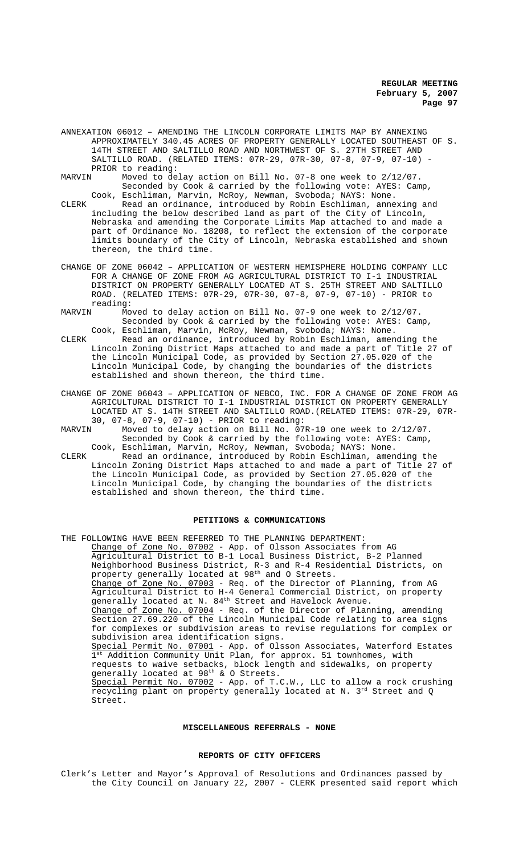- ANNEXATION 06012 AMENDING THE LINCOLN CORPORATE LIMITS MAP BY ANNEXING APPROXIMATELY 340.45 ACRES OF PROPERTY GENERALLY LOCATED SOUTHEAST OF S. 14TH STREET AND SALTILLO ROAD AND NORTHWEST OF S. 27TH STREET AND SALTILLO ROAD. (RELATED ITEMS: 07R-29, 07R-30, 07-8, 07-9, 07-10) PRIOR to reading:<br>MARVIN Moved to de
- Moved to delay action on Bill No. 07-8 one week to 2/12/07. Seconded by Cook & carried by the following vote: AYES: Camp,
- Cook, Eschliman, Marvin, McRoy, Newman, Svoboda; NAYS: None. CLERK Read an ordinance, introduced by Robin Eschliman, annexing and including the below described land as part of the City of Lincoln, Nebraska and amending the Corporate Limits Map attached to and made a part of Ordinance No. 18208, to reflect the extension of the corporate limits boundary of the City of Lincoln, Nebraska established and shown thereon, the third time.
- CHANGE OF ZONE 06042 APPLICATION OF WESTERN HEMISPHERE HOLDING COMPANY LLC FOR A CHANGE OF ZONE FROM AG AGRICULTURAL DISTRICT TO I-1 INDUSTRIAL DISTRICT ON PROPERTY GENERALLY LOCATED AT S. 25TH STREET AND SALTILLO ROAD. (RELATED ITEMS: 07R-29, 07R-30, 07-8, 07-9, 07-10) - PRIOR to reading:
- MARVIN Moved to delay action on Bill No. 07-9 one week to 2/12/07. Seconded by Cook & carried by the following vote: AYES: Camp, Cook, Eschliman, Marvin, McRoy, Newman, Svoboda; NAYS: None.
- CLERK Read an ordinance, introduced by Robin Eschliman, amending the Lincoln Zoning District Maps attached to and made a part of Title 27 of the Lincoln Municipal Code, as provided by Section 27.05.020 of the Lincoln Municipal Code, by changing the boundaries of the districts established and shown thereon, the third time.
- CHANGE OF ZONE 06043 APPLICATION OF NEBCO, INC. FOR A CHANGE OF ZONE FROM AG AGRICULTURAL DISTRICT TO I-1 INDUSTRIAL DISTRICT ON PROPERTY GENERALLY LOCATED AT S. 14TH STREET AND SALTILLO ROAD.(RELATED ITEMS: 07R-29, 07R-30, 07-8, 07-9, 07-10) - PRIOR to reading:
- MARVIN Moved to delay action on Bill No. 07R-10 one week to 2/12/07. Seconded by Cook & carried by the following vote: AYES: Camp, Cook, Eschliman, Marvin, McRoy, Newman, Svoboda; NAYS: None.
- CLERK Read an ordinance, introduced by Robin Eschliman, amending the Lincoln Zoning District Maps attached to and made a part of Title 27 of the Lincoln Municipal Code, as provided by Section 27.05.020 of the Lincoln Municipal Code, by changing the boundaries of the districts established and shown thereon, the third time.

#### **PETITIONS & COMMUNICATIONS**

THE FOLLOWING HAVE BEEN REFERRED TO THE PLANNING DEPARTMENT: Change of Zone No. 07002 - App. of Olsson Associates from AG Agricultural District to B-1 Local Business District, B-2 Planned Neighborhood Business District, R-3 and R-4 Residential Districts, on property generally located at  $98^{\text{th}}$  and O Streets. Change of Zone No. 07003 - Req. of the Director of Planning, from AG Agricultural District to H-4 General Commercial District, on property generally located at N. 84<sup>th</sup> Street and Havelock Avenue. Change of Zone No. 07004 - Req. of the Director of Planning, amending Section 27.69.220 of the Lincoln Municipal Code relating to area signs for complexes or subdivision areas to revise regulations for complex or subdivision area identification signs. Special Permit No. 07001 - App. of Olsson Associates, Waterford Estates Addition Community Unit Plan, for approx. 51 townhomes, with requests to waive setbacks, block length and sidewalks, on property generally located at  $98^{\text{th}}$  & O Streets. Special Permit No. 07002 - App. of T.C.W., LLC to allow a rock crushing recycling plant on property generally located at N.  $3^{\mathrm{rd}}$  Street and Q Street.

## **MISCELLANEOUS REFERRALS - NONE**

### **REPORTS OF CITY OFFICERS**

Clerk's Letter and Mayor's Approval of Resolutions and Ordinances passed by the City Council on January 22, 2007 - CLERK presented said report which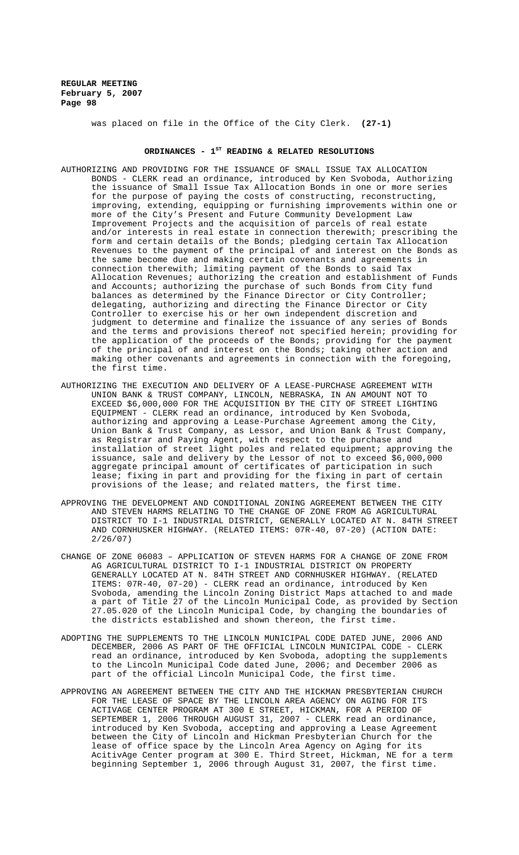was placed on file in the Office of the City Clerk. **(27-1)**

# ORDINANCES - 1<sup>st</sup> READING & RELATED RESOLUTIONS

- AUTHORIZING AND PROVIDING FOR THE ISSUANCE OF SMALL ISSUE TAX ALLOCATION BONDS - CLERK read an ordinance, introduced by Ken Svoboda, Authorizing the issuance of Small Issue Tax Allocation Bonds in one or more series for the purpose of paying the costs of constructing, reconstructing, improving, extending, equipping or furnishing improvements within one or more of the City's Present and Future Community Development Law Improvement Projects and the acquisition of parcels of real estate and/or interests in real estate in connection therewith; prescribing the form and certain details of the Bonds; pledging certain Tax Allocation Revenues to the payment of the principal of and interest on the Bonds as the same become due and making certain covenants and agreements in connection therewith; limiting payment of the Bonds to said Tax Allocation Revenues; authorizing the creation and establishment of Funds and Accounts; authorizing the purchase of such Bonds from City fund balances as determined by the Finance Director or City Controller; delegating, authorizing and directing the Finance Director or City Controller to exercise his or her own independent discretion and judgment to determine and finalize the issuance of any series of Bonds and the terms and provisions thereof not specified herein; providing for the application of the proceeds of the Bonds; providing for the payment of the principal of and interest on the Bonds; taking other action and making other covenants and agreements in connection with the foregoing, the first time.
- AUTHORIZING THE EXECUTION AND DELIVERY OF A LEASE-PURCHASE AGREEMENT WITH UNION BANK & TRUST COMPANY, LINCOLN, NEBRASKA, IN AN AMOUNT NOT TO EXCEED \$6,000,000 FOR THE ACQUISITION BY THE CITY OF STREET LIGHTING EQUIPMENT - CLERK read an ordinance, introduced by Ken Svoboda, authorizing and approving a Lease-Purchase Agreement among the City, Union Bank & Trust Company, as Lessor, and Union Bank & Trust Company, as Registrar and Paying Agent, with respect to the purchase and installation of street light poles and related equipment; approving the issuance, sale and delivery by the Lessor of not to exceed \$6,000,000 aggregate principal amount of certificates of participation in such lease; fixing in part and providing for the fixing in part of certain provisions of the lease; and related matters, the first time.
- APPROVING THE DEVELOPMENT AND CONDITIONAL ZONING AGREEMENT BETWEEN THE CITY AND STEVEN HARMS RELATING TO THE CHANGE OF ZONE FROM AG AGRICULTURAL DISTRICT TO I-1 INDUSTRIAL DISTRICT, GENERALLY LOCATED AT N. 84TH STREET AND CORNHUSKER HIGHWAY. (RELATED ITEMS: 07R-40, 07-20) (ACTION DATE: 2/26/07)
- CHANGE OF ZONE 06083 APPLICATION OF STEVEN HARMS FOR A CHANGE OF ZONE FROM AG AGRICULTURAL DISTRICT TO I-1 INDUSTRIAL DISTRICT ON PROPERTY GENERALLY LOCATED AT N. 84TH STREET AND CORNHUSKER HIGHWAY. (RELATED ITEMS: 07R-40, 07-20) - CLERK read an ordinance, introduced by Ken Svoboda, amending the Lincoln Zoning District Maps attached to and made a part of Title 27 of the Lincoln Municipal Code, as provided by Section 27.05.020 of the Lincoln Municipal Code, by changing the boundaries of the districts established and shown thereon, the first time.
- ADOPTING THE SUPPLEMENTS TO THE LINCOLN MUNICIPAL CODE DATED JUNE, 2006 AND DECEMBER, 2006 AS PART OF THE OFFICIAL LINCOLN MUNICIPAL CODE - CLERK read an ordinance, introduced by Ken Svoboda, adopting the supplements to the Lincoln Municipal Code dated June, 2006; and December 2006 as part of the official Lincoln Municipal Code, the first time.
- APPROVING AN AGREEMENT BETWEEN THE CITY AND THE HICKMAN PRESBYTERIAN CHURCH FOR THE LEASE OF SPACE BY THE LINCOLN AREA AGENCY ON AGING FOR ITS ACTIVAGE CENTER PROGRAM AT 300 E STREET, HICKMAN, FOR A PERIOD OF SEPTEMBER 1, 2006 THROUGH AUGUST 31, 2007 - CLERK read an ordinance, introduced by Ken Svoboda, accepting and approving a Lease Agreement between the City of Lincoln and Hickman Presbyterian Church for the lease of office space by the Lincoln Area Agency on Aging for its AcitivAge Center program at 300 E. Third Street, Hickman, NE for a term beginning September 1, 2006 through August 31, 2007, the first time.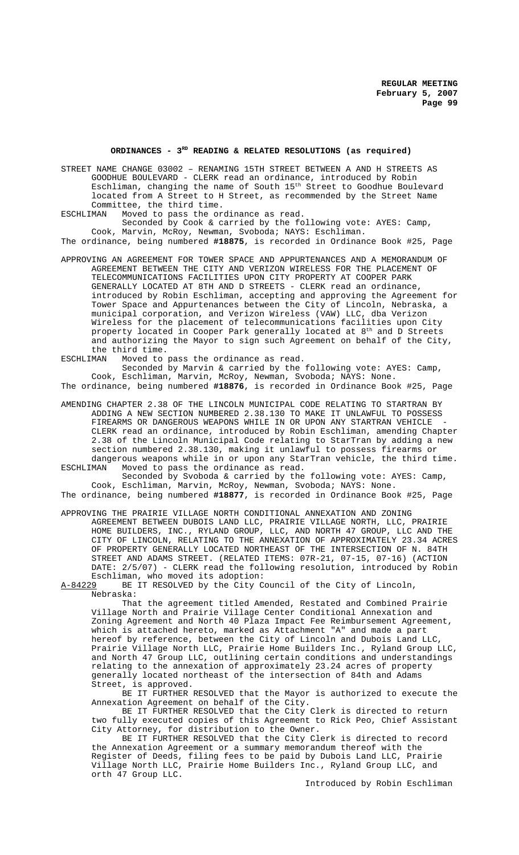## **ORDINANCES - 3RD READING & RELATED RESOLUTIONS (as required)**

STREET NAME CHANGE 03002 – RENAMING 15TH STREET BETWEEN A AND H STREETS AS GOODHUE BOULEVARD - CLERK read an ordinance, introduced by Robin Eschliman, changing the name of South 15th Street to Goodhue Boulevard located from A Street to H Street, as recommended by the Street Name Committee, the third time.<br>ESCHLIMAN Moved to pass the or

Moved to pass the ordinance as read.

Seconded by Cook & carried by the following vote: AYES: Camp, Cook, Marvin, McRoy, Newman, Svoboda; NAYS: Eschliman. The ordinance, being numbered **#18875**, is recorded in Ordinance Book #25, Page

APPROVING AN AGREEMENT FOR TOWER SPACE AND APPURTENANCES AND A MEMORANDUM OF AGREEMENT BETWEEN THE CITY AND VERIZON WIRELESS FOR THE PLACEMENT OF TELECOMMUNICATIONS FACILITIES UPON CITY PROPERTY AT COOPER PARK GENERALLY LOCATED AT 8TH AND D STREETS - CLERK read an ordinance, introduced by Robin Eschliman, accepting and approving the Agreement for Tower Space and Appurtenances between the City of Lincoln, Nebraska, a municipal corporation, and Verizon Wireless (VAW) LLC, dba Verizon Wireless for the placement of telecommunications facilities upon City property located in Cooper Park generally located at 8<sup>th</sup> and D Streets and authorizing the Mayor to sign such Agreement on behalf of the City, the third time.<br>ESCHLIMAN Moved to

Moved to pass the ordinance as read. Seconded by Marvin & carried by the following vote: AYES: Camp, Cook, Eschliman, Marvin, McRoy, Newman, Svoboda; NAYS: None.

The ordinance, being numbered **#18876**, is recorded in Ordinance Book #25, Page

AMENDING CHAPTER 2.38 OF THE LINCOLN MUNICIPAL CODE RELATING TO STARTRAN BY ADDING A NEW SECTION NUMBERED 2.38.130 TO MAKE IT UNLAWFUL TO POSSESS FIREARMS OR DANGEROUS WEAPONS WHILE IN OR UPON ANY STARTRAN VEHICLE CLERK read an ordinance, introduced by Robin Eschliman, amending Chapter 2.38 of the Lincoln Municipal Code relating to StarTran by adding a new section numbered 2.38.130, making it unlawful to possess firearms or dangerous weapons while in or upon any StarTran vehicle, the third time.<br>ESCHLIMAN Woved to pass the ordinance as read. Moved to pass the ordinance as read.

Seconded by Svoboda & carried by the following vote: AYES: Camp, Cook, Eschliman, Marvin, McRoy, Newman, Svoboda; NAYS: None. The ordinance, being numbered **#18877**, is recorded in Ordinance Book #25, Page

APPROVING THE PRAIRIE VILLAGE NORTH CONDITIONAL ANNEXATION AND ZONING AGREEMENT BETWEEN DUBOIS LAND LLC, PRAIRIE VILLAGE NORTH, LLC, PRAIRIE HOME BUILDERS, INC., RYLAND GROUP, LLC, AND NORTH 47 GROUP, LLC AND THE CITY OF LINCOLN, RELATING TO THE ANNEXATION OF APPROXIMATELY 23.34 ACRES OF PROPERTY GENERALLY LOCATED NORTHEAST OF THE INTERSECTION OF N. 84TH STREET AND ADAMS STREET. (RELATED ITEMS: 07R-21, 07-15, 07-16) (ACTION DATE: 2/5/07) - CLERK read the following resolution, introduced by Robin

Eschliman, who moved its adoption: A-84229 BE IT RESOLVED by the City Council of the City of Lincoln, Nebraska:

That the agreement titled Amended, Restated and Combined Prairie Village North and Prairie Village Center Conditional Annexation and Zoning Agreement and North 40 Plaza Impact Fee Reimbursement Agreement, which is attached hereto, marked as Attachment "A" and made a part hereof by reference, between the City of Lincoln and Dubois Land LLC, Prairie Village North LLC, Prairie Home Builders Inc., Ryland Group LLC, and North 47 Group LLC, outlining certain conditions and understandings relating to the annexation of approximately 23.24 acres of property generally located northeast of the intersection of 84th and Adams Street, is approved.

BE IT FURTHER RESOLVED that the Mayor is authorized to execute the Annexation Agreement on behalf of the City.

BE IT FURTHER RESOLVED that the City Clerk is directed to return two fully executed copies of this Agreement to Rick Peo, Chief Assistant City Attorney, for distribution to the Owner.

BE IT FURTHER RESOLVED that the City Clerk is directed to record the Annexation Agreement or a summary memorandum thereof with the Register of Deeds, filing fees to be paid by Dubois Land LLC, Prairie Village North LLC, Prairie Home Builders Inc., Ryland Group LLC, and orth 47 Group LLC.

Introduced by Robin Eschliman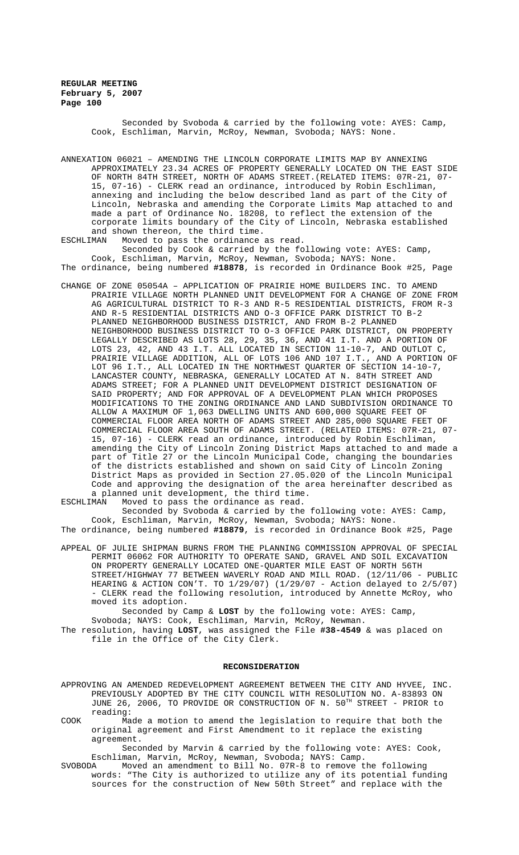> Seconded by Svoboda & carried by the following vote: AYES: Camp, Cook, Eschliman, Marvin, McRoy, Newman, Svoboda; NAYS: None.

ANNEXATION 06021 – AMENDING THE LINCOLN CORPORATE LIMITS MAP BY ANNEXING APPROXIMATELY 23.34 ACRES OF PROPERTY GENERALLY LOCATED ON THE EAST SIDE OF NORTH 84TH STREET, NORTH OF ADAMS STREET.(RELATED ITEMS: 07R-21, 07- 15, 07-16) - CLERK read an ordinance, introduced by Robin Eschliman, annexing and including the below described land as part of the City of Lincoln, Nebraska and amending the Corporate Limits Map attached to and made a part of Ordinance No. 18208, to reflect the extension of the corporate limits boundary of the City of Lincoln, Nebraska established and shown thereon, the third time.<br>ESCHLIMAN Moved to pass the ordinance

Moved to pass the ordinance as read.

Seconded by Cook & carried by the following vote: AYES: Camp, Cook, Eschliman, Marvin, McRoy, Newman, Svoboda; NAYS: None. The ordinance, being numbered **#18878**, is recorded in Ordinance Book #25, Page

CHANGE OF ZONE 05054A – APPLICATION OF PRAIRIE HOME BUILDERS INC. TO AMEND PRAIRIE VILLAGE NORTH PLANNED UNIT DEVELOPMENT FOR A CHANGE OF ZONE FROM AG AGRICULTURAL DISTRICT TO R-3 AND R-5 RESIDENTIAL DISTRICTS, FROM R-3 AND R-5 RESIDENTIAL DISTRICTS AND O-3 OFFICE PARK DISTRICT TO B-2 PLANNED NEIGHBORHOOD BUSINESS DISTRICT, AND FROM B-2 PLANNED NEIGHBORHOOD BUSINESS DISTRICT TO O-3 OFFICE PARK DISTRICT, ON PROPERTY LEGALLY DESCRIBED AS LOTS 28, 29, 35, 36, AND 41 I.T. AND A PORTION OF LOTS 23, 42, AND 43 I.T. ALL LOCATED IN SECTION 11-10-7, AND OUTLOT C, PRAIRIE VILLAGE ADDITION, ALL OF LOTS 106 AND 107 I.T., AND A PORTION OF LOT 96 I.T., ALL LOCATED IN THE NORTHWEST QUARTER OF SECTION 14-10-7, LANCASTER COUNTY, NEBRASKA, GENERALLY LOCATED AT N. 84TH STREET AND ADAMS STREET; FOR A PLANNED UNIT DEVELOPMENT DISTRICT DESIGNATION OF SAID PROPERTY; AND FOR APPROVAL OF A DEVELOPMENT PLAN WHICH PROPOSES MODIFICATIONS TO THE ZONING ORDINANCE AND LAND SUBDIVISION ORDINANCE TO ALLOW A MAXIMUM OF 1,063 DWELLING UNITS AND 600,000 SQUARE FEET OF COMMERCIAL FLOOR AREA NORTH OF ADAMS STREET AND 285,000 SQUARE FEET OF COMMERCIAL FLOOR AREA SOUTH OF ADAMS STREET. (RELATED ITEMS: 07R-21, 07- 15, 07-16) - CLERK read an ordinance, introduced by Robin Eschliman, amending the City of Lincoln Zoning District Maps attached to and made a part of Title 27 or the Lincoln Municipal Code, changing the boundaries of the districts established and shown on said City of Lincoln Zoning District Maps as provided in Section 27.05.020 of the Lincoln Municipal Code and approving the designation of the area hereinafter described as a planned unit development, the third time.<br>ESCHLIMAN Moved to pass the ordinance as read.

Moved to pass the ordinance as read. Seconded by Svoboda & carried by the following vote: AYES: Camp,

Cook, Eschliman, Marvin, McRoy, Newman, Svoboda; NAYS: None. The ordinance, being numbered **#18879**, is recorded in Ordinance Book #25, Page

APPEAL OF JULIE SHIPMAN BURNS FROM THE PLANNING COMMISSION APPROVAL OF SPECIAL PERMIT 06062 FOR AUTHORITY TO OPERATE SAND, GRAVEL AND SOIL EXCAVATION ON PROPERTY GENERALLY LOCATED ONE-QUARTER MILE EAST OF NORTH 56TH STREET/HIGHWAY 77 BETWEEN WAVERLY ROAD AND MILL ROAD. (12/11/06 - PUBLIC HEARING & ACTION CON'T. TO 1/29/07) (1/29/07 - Action delayed to 2/5/07) - CLERK read the following resolution, introduced by Annette McRoy, who moved its adoption.

Seconded by Camp & **LOST** by the following vote: AYES: Camp, Svoboda; NAYS: Cook, Eschliman, Marvin, McRoy, Newman.

The resolution, having **LOST**, was assigned the File **#38-4549** & was placed on file in the Office of the City Clerk.

### **RECONSIDERATION**

APPROVING AN AMENDED REDEVELOPMENT AGREEMENT BETWEEN THE CITY AND HYVEE, INC. PREVIOUSLY ADOPTED BY THE CITY COUNCIL WITH RESOLUTION NO. A-83893 ON JUNE 26, 2006, TO PROVIDE OR CONSTRUCTION OF N. 50TH STREET - PRIOR to reading:

COOK Made a motion to amend the legislation to require that both the original agreement and First Amendment to it replace the existing agreement.

Seconded by Marvin & carried by the following vote: AYES: Cook, Eschliman, Marvin, McRoy, Newman, Svoboda; NAYS: Camp.

SVOBODA Moved an amendment to Bill No. 07R-8 to remove the following words: "The City is authorized to utilize any of its potential funding sources for the construction of New 50th Street" and replace with the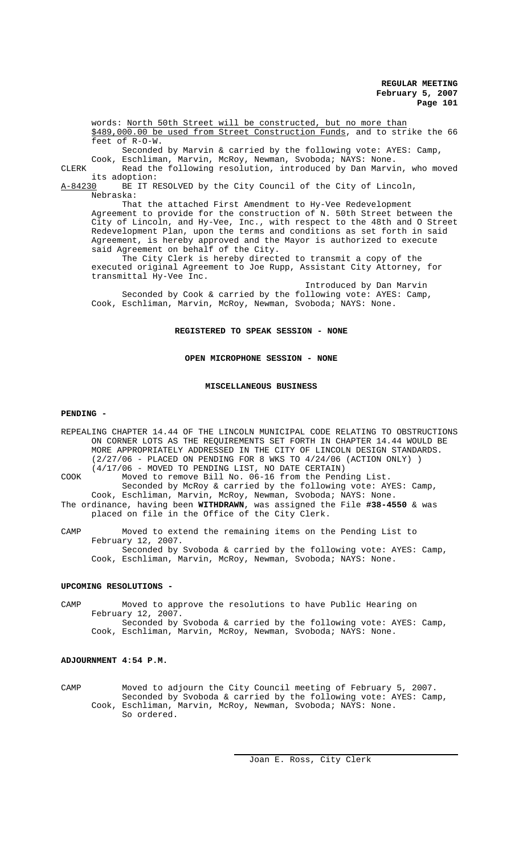words: North 50th Street will be constructed, but no more than \$489,000.00 be used from Street Construction Funds, and to strike the 66 feet of R-O-W.

Seconded by Marvin & carried by the following vote: AYES: Camp, Cook, Eschliman, Marvin, McRoy, Newman, Svoboda; NAYS: None.

CLERK Read the following resolution, introduced by Dan Marvin, who moved

its adoption:<br><u>A-84230</u> BE IT R BE IT RESOLVED by the City Council of the City of Lincoln, Nebraska:

That the attached First Amendment to Hy-Vee Redevelopment Agreement to provide for the construction of N. 50th Street between the City of Lincoln, and Hy-Vee, Inc., with respect to the 48th and O Street Redevelopment Plan, upon the terms and conditions as set forth in said Agreement, is hereby approved and the Mayor is authorized to execute said Agreement on behalf of the City.

The City Clerk is hereby directed to transmit a copy of the executed original Agreement to Joe Rupp, Assistant City Attorney, for transmittal Hy-Vee Inc.

Introduced by Dan Marvin Seconded by Cook & carried by the following vote: AYES: Camp, Cook, Eschliman, Marvin, McRoy, Newman, Svoboda; NAYS: None.

**REGISTERED TO SPEAK SESSION - NONE**

**OPEN MICROPHONE SESSION - NONE**

#### **MISCELLANEOUS BUSINESS**

## **PENDING -**

REPEALING CHAPTER 14.44 OF THE LINCOLN MUNICIPAL CODE RELATING TO OBSTRUCTIONS ON CORNER LOTS AS THE REQUIREMENTS SET FORTH IN CHAPTER 14.44 WOULD BE MORE APPROPRIATELY ADDRESSED IN THE CITY OF LINCOLN DESIGN STANDARDS. (2/27/06 - PLACED ON PENDING FOR 8 WKS TO 4/24/06 (ACTION ONLY) ) (4/17/06 - MOVED TO PENDING LIST, NO DATE CERTAIN) COOK Moved to remove Bill No. 06-16 from the Pending List. Seconded by McRoy & carried by the following vote: AYES: Camp, Cook, Eschliman, Marvin, McRoy, Newman, Svoboda; NAYS: None. The ordinance, having been **WITHDRAWN**, was assigned the File **#38-4550** & was placed on file in the Office of the City Clerk.

CAMP Moved to extend the remaining items on the Pending List to February 12, 2007. Seconded by Svoboda & carried by the following vote: AYES: Camp, Cook, Eschliman, Marvin, McRoy, Newman, Svoboda; NAYS: None.

#### **UPCOMING RESOLUTIONS -**

CAMP Moved to approve the resolutions to have Public Hearing on February 12, 2007. Seconded by Svoboda & carried by the following vote: AYES: Camp, Cook, Eschliman, Marvin, McRoy, Newman, Svoboda; NAYS: None.

# **ADJOURNMENT 4:54 P.M.**

CAMP Moved to adjourn the City Council meeting of February 5, 2007. Seconded by Svoboda & carried by the following vote: AYES: Camp, Cook, Eschliman, Marvin, McRoy, Newman, Svoboda; NAYS: None. So ordered.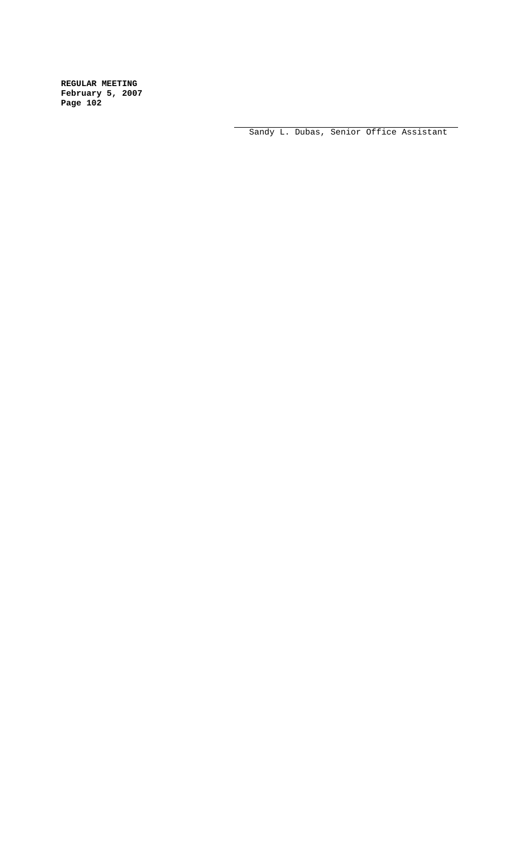Sandy L. Dubas, Senior Office Assistant